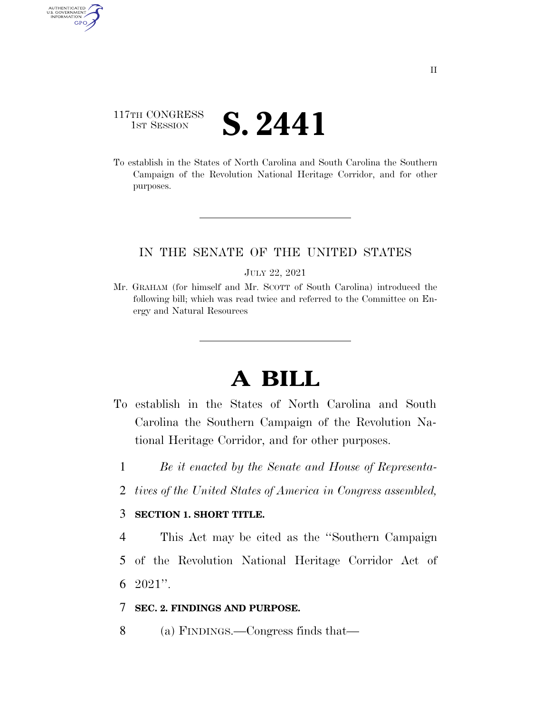# 117TH CONGRESS **IST SESSION S. 2441**

AUTHENTICATED<br>U.S. GOVERNMENT<br>INFORMATION GPO

> To establish in the States of North Carolina and South Carolina the Southern Campaign of the Revolution National Heritage Corridor, and for other purposes.

## IN THE SENATE OF THE UNITED STATES

JULY 22, 2021

Mr. GRAHAM (for himself and Mr. SCOTT of South Carolina) introduced the following bill; which was read twice and referred to the Committee on Energy and Natural Resources

# **A BILL**

- To establish in the States of North Carolina and South Carolina the Southern Campaign of the Revolution National Heritage Corridor, and for other purposes.
	- 1 *Be it enacted by the Senate and House of Representa-*
	- 2 *tives of the United States of America in Congress assembled,*

#### 3 **SECTION 1. SHORT TITLE.**

4 This Act may be cited as the ''Southern Campaign 5 of the Revolution National Heritage Corridor Act of 6 2021''.

#### 7 **SEC. 2. FINDINGS AND PURPOSE.**

8 (a) FINDINGS.—Congress finds that—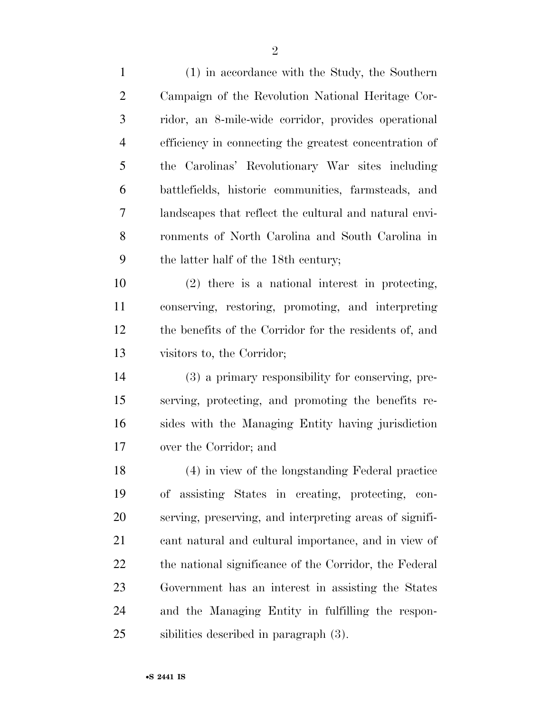(1) in accordance with the Study, the Southern Campaign of the Revolution National Heritage Cor- ridor, an 8-mile-wide corridor, provides operational efficiency in connecting the greatest concentration of the Carolinas' Revolutionary War sites including battlefields, historic communities, farmsteads, and landscapes that reflect the cultural and natural envi- ronments of North Carolina and South Carolina in the latter half of the 18th century; (2) there is a national interest in protecting, conserving, restoring, promoting, and interpreting the benefits of the Corridor for the residents of, and visitors to, the Corridor; (3) a primary responsibility for conserving, pre- serving, protecting, and promoting the benefits re- sides with the Managing Entity having jurisdiction over the Corridor; and (4) in view of the longstanding Federal practice of assisting States in creating, protecting, con- serving, preserving, and interpreting areas of signifi- cant natural and cultural importance, and in view of 22 the national significance of the Corridor, the Federal Government has an interest in assisting the States and the Managing Entity in fulfilling the respon-sibilities described in paragraph (3).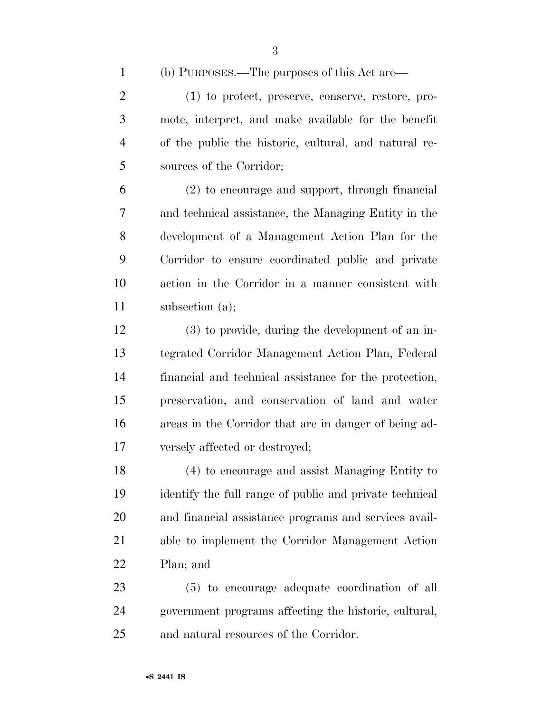(b) PURPOSES.—The purposes of this Act are—

 (1) to protect, preserve, conserve, restore, pro- mote, interpret, and make available for the benefit of the public the historic, cultural, and natural re-sources of the Corridor;

 (2) to encourage and support, through financial and technical assistance, the Managing Entity in the development of a Management Action Plan for the Corridor to ensure coordinated public and private action in the Corridor in a manner consistent with subsection (a);

 (3) to provide, during the development of an in- tegrated Corridor Management Action Plan, Federal financial and technical assistance for the protection, preservation, and conservation of land and water areas in the Corridor that are in danger of being ad-versely affected or destroyed;

 (4) to encourage and assist Managing Entity to identify the full range of public and private technical and financial assistance programs and services avail- able to implement the Corridor Management Action Plan; and

 (5) to encourage adequate coordination of all government programs affecting the historic, cultural, and natural resources of the Corridor.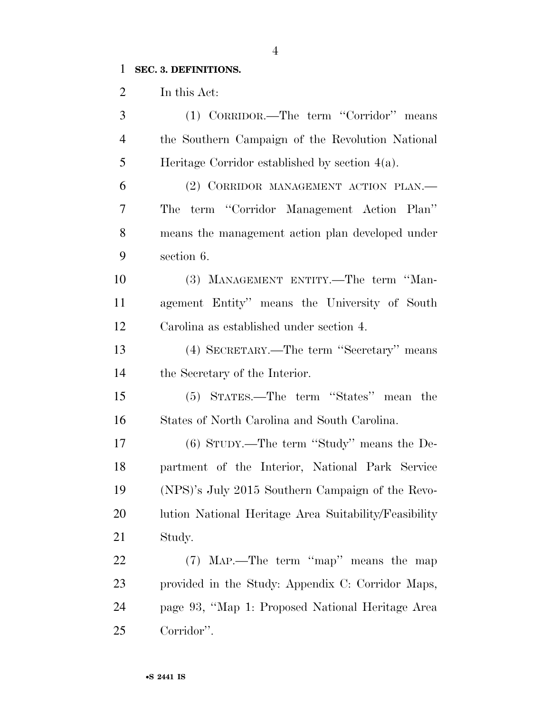# **SEC. 3. DEFINITIONS.**

In this Act:

| 3              | (1) CORRIDOR.—The term "Corridor" means               |
|----------------|-------------------------------------------------------|
| $\overline{4}$ | the Southern Campaign of the Revolution National      |
| 5              | Heritage Corridor established by section $4(a)$ .     |
| 6              | (2) CORRIDOR MANAGEMENT ACTION PLAN.                  |
| 7              | term "Corridor Management Action Plan"<br>The         |
| 8              | means the management action plan developed under      |
| 9              | section 6.                                            |
| 10             | (3) MANAGEMENT ENTITY.—The term "Man-                 |
| 11             | agement Entity" means the University of South         |
| 12             | Carolina as established under section 4.              |
| 13             | (4) SECRETARY.—The term "Secretary" means             |
| 14             | the Secretary of the Interior.                        |
| 15             | (5) STATES.—The term "States" mean the                |
| 16             | States of North Carolina and South Carolina.          |
| 17             | $(6)$ STUDY.—The term "Study" means the De-           |
| 18             | partment of the Interior, National Park Service       |
| 19             | (NPS)'s July 2015 Southern Campaign of the Revo-      |
| 20             | lution National Heritage Area Suitability/Feasibility |
| 21             | Study.                                                |
| 22             | (7) MAP.—The term "map" means the map                 |
| 23             | provided in the Study: Appendix C: Corridor Maps,     |
| 24             | page 93, "Map 1: Proposed National Heritage Area      |
| 25             | Corridor".                                            |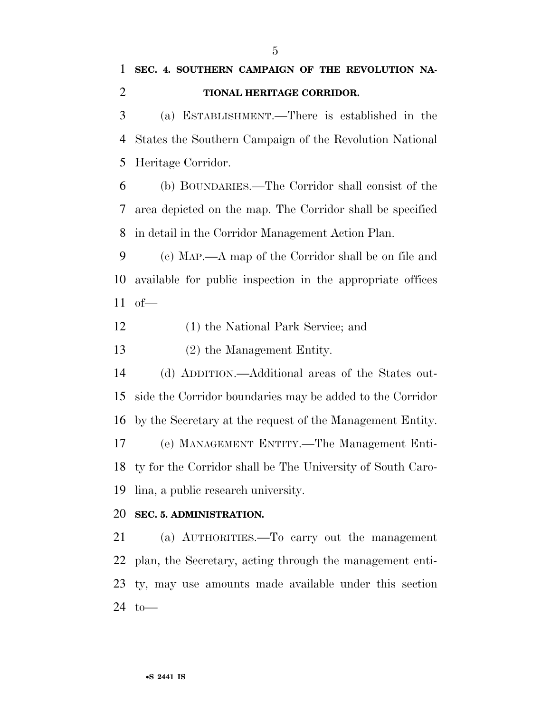(a) ESTABLISHMENT.—There is established in the States the Southern Campaign of the Revolution National Heritage Corridor.

 (b) BOUNDARIES.—The Corridor shall consist of the area depicted on the map. The Corridor shall be specified in detail in the Corridor Management Action Plan.

 (c) MAP.—A map of the Corridor shall be on file and available for public inspection in the appropriate offices of—

(1) the National Park Service; and

(2) the Management Entity.

 (d) ADDITION.—Additional areas of the States out- side the Corridor boundaries may be added to the Corridor by the Secretary at the request of the Management Entity. (e) MANAGEMENT ENTITY.—The Management Enti-ty for the Corridor shall be The University of South Caro-

lina, a public research university.

## **SEC. 5. ADMINISTRATION.**

 (a) AUTHORITIES.—To carry out the management plan, the Secretary, acting through the management enti- ty, may use amounts made available under this section to—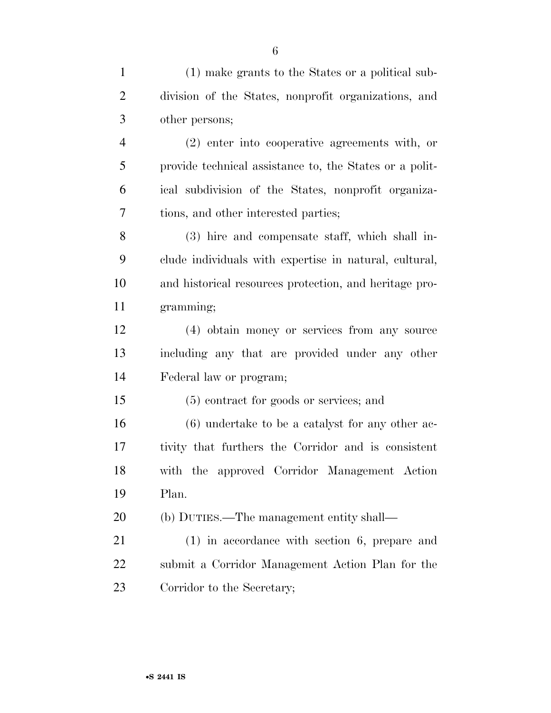| $\mathbf{1}$   | (1) make grants to the States or a political sub-       |
|----------------|---------------------------------------------------------|
| $\overline{2}$ | division of the States, nonprofit organizations, and    |
| 3              | other persons;                                          |
| $\overline{4}$ | (2) enter into cooperative agreements with, or          |
| 5              | provide technical assistance to, the States or a polit- |
| 6              | ical subdivision of the States, nonprofit organiza-     |
| 7              | tions, and other interested parties;                    |
| 8              | (3) hire and compensate staff, which shall in-          |
| 9              | clude individuals with expertise in natural, cultural,  |
| 10             | and historical resources protection, and heritage pro-  |
| 11             | gramming;                                               |
| 12             | (4) obtain money or services from any source            |
| 13             | including any that are provided under any other         |
| 14             | Federal law or program;                                 |
| 15             | (5) contract for goods or services; and                 |
| 16             | $(6)$ undertake to be a catalyst for any other ac-      |
| 17             | tivity that furthers the Corridor and is consistent     |
| 18             | with the approved Corridor Management Action            |
| 19             | Plan.                                                   |
| 20             | (b) DUTIES.—The management entity shall—                |
| 21             | $(1)$ in accordance with section 6, prepare and         |
| 22             | submit a Corridor Management Action Plan for the        |

Corridor to the Secretary;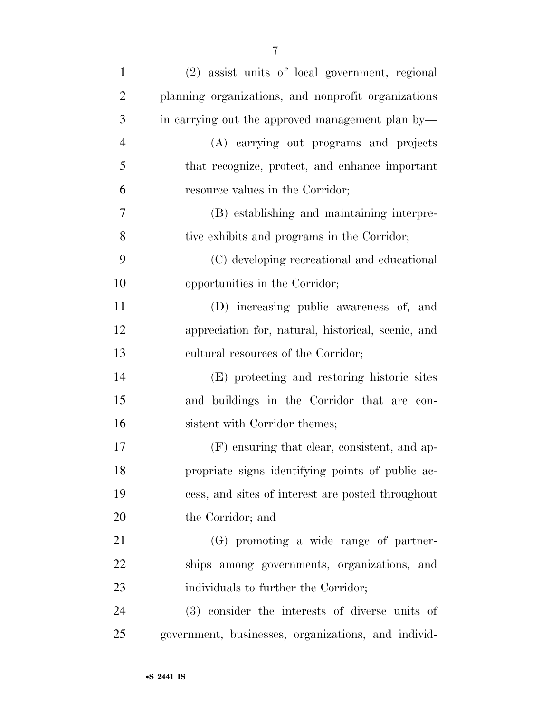| $\mathbf{1}$   | (2) assist units of local government, regional      |
|----------------|-----------------------------------------------------|
| $\overline{2}$ | planning organizations, and nonprofit organizations |
| 3              | in carrying out the approved management plan by—    |
| $\overline{4}$ | (A) carrying out programs and projects              |
| 5              | that recognize, protect, and enhance important      |
| 6              | resource values in the Corridor;                    |
| $\tau$         | (B) establishing and maintaining interpre-          |
| 8              | tive exhibits and programs in the Corridor;         |
| 9              | (C) developing recreational and educational         |
| 10             | opportunities in the Corridor;                      |
| 11             | (D) increasing public awareness of, and             |
| 12             | appreciation for, natural, historical, scenic, and  |
| 13             | cultural resources of the Corridor;                 |
| 14             | (E) protecting and restoring historic sites         |
| 15             | and buildings in the Corridor that are con-         |
| 16             | sistent with Corridor themes;                       |
| 17             | (F) ensuring that clear, consistent, and ap-        |
| 18             | propriate signs identifying points of public ac-    |
| 19             | cess, and sites of interest are posted throughout   |
| 20             | the Corridor; and                                   |
| 21             | (G) promoting a wide range of partner-              |
| 22             | ships among governments, organizations, and         |
| 23             | individuals to further the Corridor;                |
| 24             | (3) consider the interests of diverse units of      |
| 25             | government, businesses, organizations, and individ- |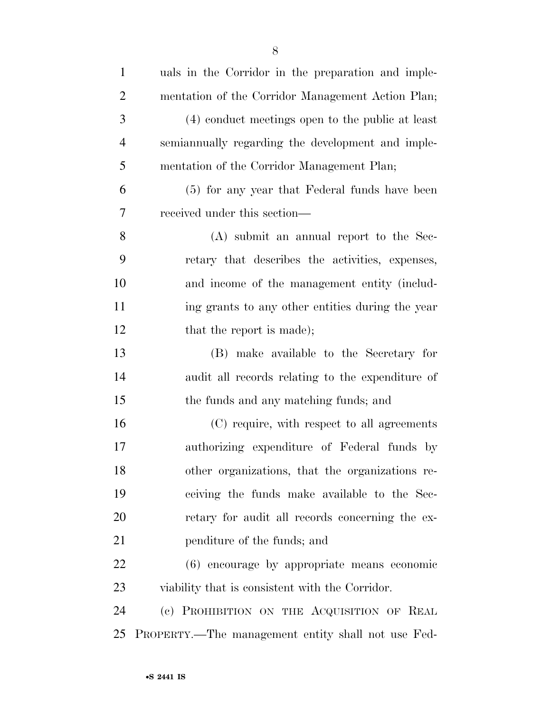| $\mathbf{1}$   | uals in the Corridor in the preparation and imple- |
|----------------|----------------------------------------------------|
| $\overline{2}$ | mentation of the Corridor Management Action Plan;  |
| 3              | (4) conduct meetings open to the public at least   |
| $\overline{4}$ | semiannually regarding the development and imple-  |
| 5              | mentation of the Corridor Management Plan;         |
| 6              | (5) for any year that Federal funds have been      |
| 7              | received under this section—                       |
| 8              | $(A)$ submit an annual report to the Sec-          |
| 9              | retary that describes the activities, expenses,    |
| 10             | and income of the management entity (includ-       |
| 11             | ing grants to any other entities during the year   |
| 12             | that the report is made);                          |
| 13             | (B) make available to the Secretary for            |
| 14             | audit all records relating to the expenditure of   |
| 15             | the funds and any matching funds; and              |
| 16             | (C) require, with respect to all agreements        |
| 17             | authorizing expenditure of Federal funds by        |
| 18             | other organizations, that the organizations re-    |
| 19             | ceiving the funds make available to the Sec-       |
| 20             | retary for audit all records concerning the ex-    |
| 21             | penditure of the funds; and                        |
| 22             | (6) encourage by appropriate means economic        |
| 23             | viability that is consistent with the Corridor.    |
| 24             | (c) PROHIBITION ON THE ACQUISITION OF REAL         |
| 25             | PROPERTY.—The management entity shall not use Fed- |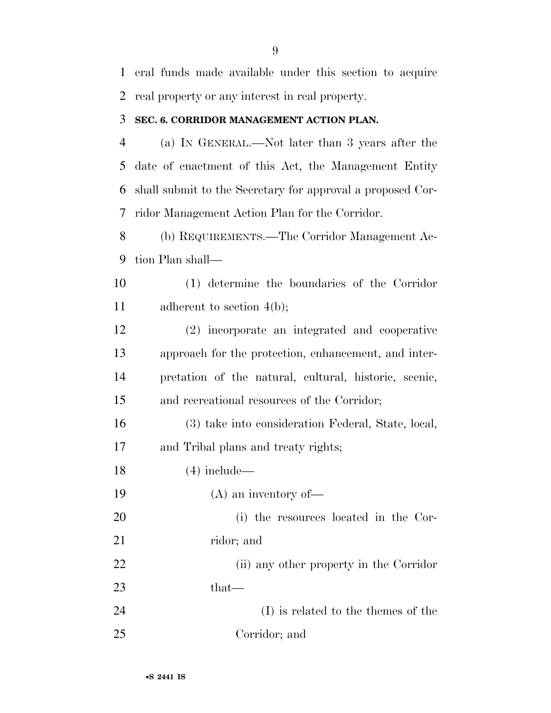eral funds made available under this section to acquire real property or any interest in real property.

## **SEC. 6. CORRIDOR MANAGEMENT ACTION PLAN.**

 (a) IN GENERAL.—Not later than 3 years after the date of enactment of this Act, the Management Entity shall submit to the Secretary for approval a proposed Cor-ridor Management Action Plan for the Corridor.

 (b) REQUIREMENTS.—The Corridor Management Ac-tion Plan shall—

 (1) determine the boundaries of the Corridor 11 adherent to section 4(b);

 (2) incorporate an integrated and cooperative approach for the protection, enhancement, and inter- pretation of the natural, cultural, historic, scenic, and recreational resources of the Corridor;

 (3) take into consideration Federal, State, local, and Tribal plans and treaty rights;

(4) include—

(A) an inventory of—

 (i) the resources located in the Cor-21 ridor; and

 (ii) any other property in the Corridor that—

 (I) is related to the themes of the Corridor; and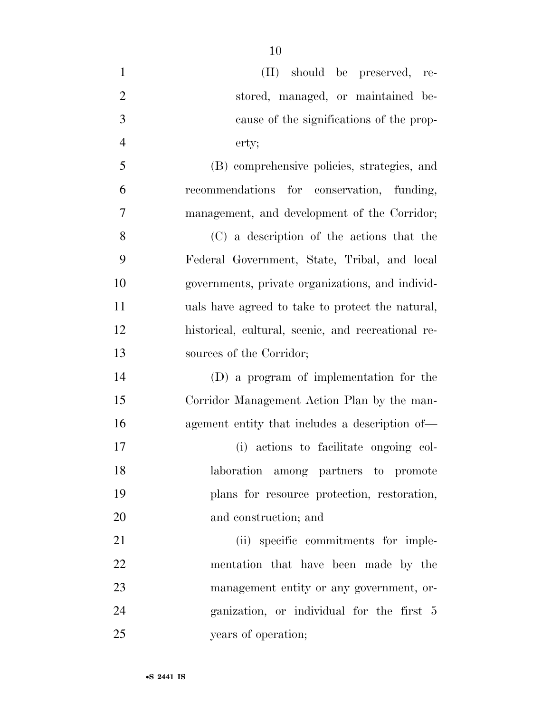| $\mathbf{1}$   | (II) should be preserved, re-                      |
|----------------|----------------------------------------------------|
| $\overline{2}$ | stored, managed, or maintained be-                 |
| 3              | cause of the significations of the prop-           |
| $\overline{4}$ | erty;                                              |
| 5              | (B) comprehensive policies, strategies, and        |
| 6              | recommendations for conservation, funding,         |
| 7              | management, and development of the Corridor;       |
| 8              | (C) a description of the actions that the          |
| 9              | Federal Government, State, Tribal, and local       |
| 10             | governments, private organizations, and individ-   |
| 11             | uals have agreed to take to protect the natural,   |
| 12             | historical, cultural, scenic, and recreational re- |
| 13             | sources of the Corridor;                           |
| 14             | (D) a program of implementation for the            |
| 15             | Corridor Management Action Plan by the man-        |
| 16             | agement entity that includes a description of—     |
| 17             | (i) actions to facilitate ongoing col-             |
| 18             | laboration among partners to promote               |
| 19             | plans for resource protection, restoration,        |
| 20             | and construction; and                              |
| 21             | (ii) specific commitments for imple-               |
| 22             | mentation that have been made by the               |
| 23             | management entity or any government, or-           |
| 24             | ganization, or individual for the first 5          |
| 25             | years of operation;                                |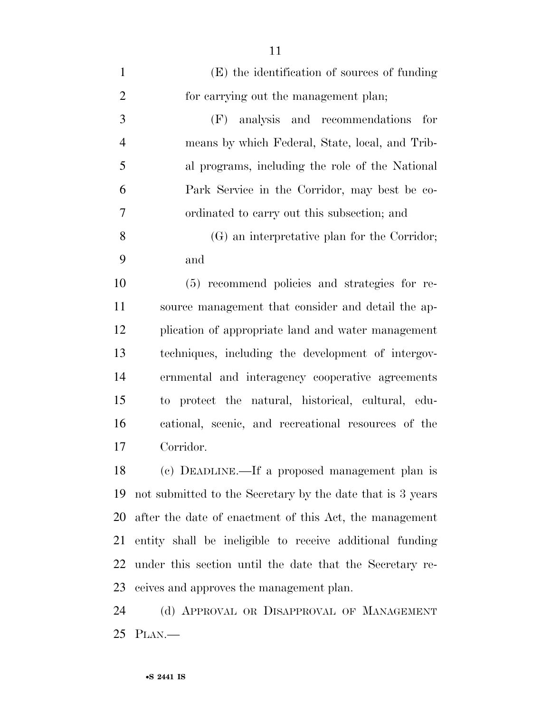| $\mathbf{1}$   | (E) the identification of sources of funding               |
|----------------|------------------------------------------------------------|
| $\overline{2}$ | for carrying out the management plan;                      |
| 3              | analysis and recommendations<br>(F)<br>for                 |
| $\overline{4}$ | means by which Federal, State, local, and Trib-            |
| 5              | al programs, including the role of the National            |
| 6              | Park Service in the Corridor, may best be co-              |
| 7              | ordinated to carry out this subsection; and                |
| 8              | (G) an interpretative plan for the Corridor;               |
| 9              | and                                                        |
| 10             | (5) recommend policies and strategies for re-              |
| 11             | source management that consider and detail the ap-         |
| 12             | plication of appropriate land and water management         |
| 13             | techniques, including the development of intergov-         |
| 14             | ernmental and interagency cooperative agreements           |
| 15             | to protect the natural, historical, cultural, edu-         |
| 16             | cational, scenic, and recreational resources of the        |
| 17             | Corridor.                                                  |
| 18             | (c) DEADLINE.—If a proposed management plan is             |
| 19             | not submitted to the Secretary by the date that is 3 years |
| 20             | after the date of enactment of this Act, the management    |
| 21             | entity shall be ineligible to receive additional funding   |
| 22             | under this section until the date that the Secretary re-   |
| 23             | ceives and approves the management plan.                   |
| 24             | (d) APPROVAL OR DISAPPROVAL OF MANAGEMENT                  |
| 25             | PLAN.                                                      |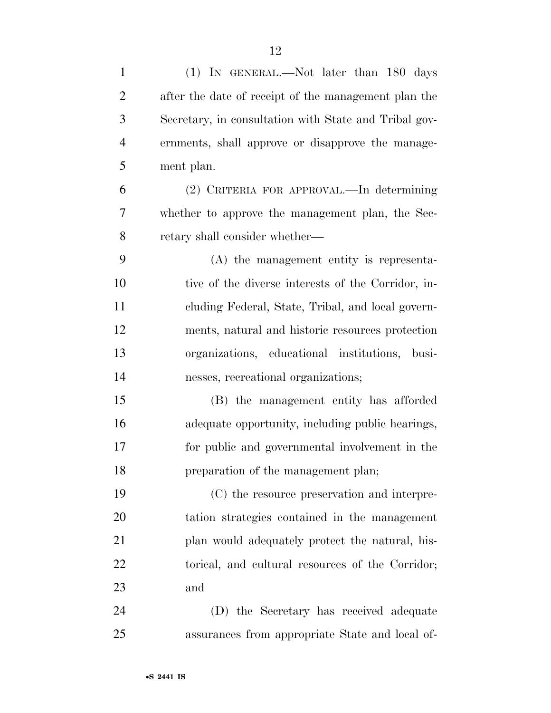| $\mathbf{1}$   | (1) IN GENERAL.—Not later than 180 days               |
|----------------|-------------------------------------------------------|
| $\overline{2}$ | after the date of receipt of the management plan the  |
| 3              | Secretary, in consultation with State and Tribal gov- |
| $\overline{4}$ | ernments, shall approve or disapprove the manage-     |
| 5              | ment plan.                                            |
| 6              | (2) CRITERIA FOR APPROVAL.—In determining             |
| 7              | whether to approve the management plan, the Sec-      |
| 8              | retary shall consider whether—                        |
| 9              | (A) the management entity is representa-              |
| 10             | tive of the diverse interests of the Corridor, in-    |
| 11             | cluding Federal, State, Tribal, and local govern-     |
| 12             | ments, natural and historic resources protection      |
| 13             | organizations, educational institutions, busi-        |
| 14             | nesses, recreational organizations;                   |
| 15             | (B) the management entity has afforded                |
| 16             | adequate opportunity, including public hearings,      |
| 17             | for public and governmental involvement in the        |
| 18             | preparation of the management plan;                   |
| 19             | (C) the resource preservation and interpre-           |
| 20             | tation strategies contained in the management         |
| 21             | plan would adequately protect the natural, his-       |
| 22             | torical, and cultural resources of the Corridor;      |
| 23             | and                                                   |
| 24             | (D) the Secretary has received adequate               |
| 25             | assurances from appropriate State and local of-       |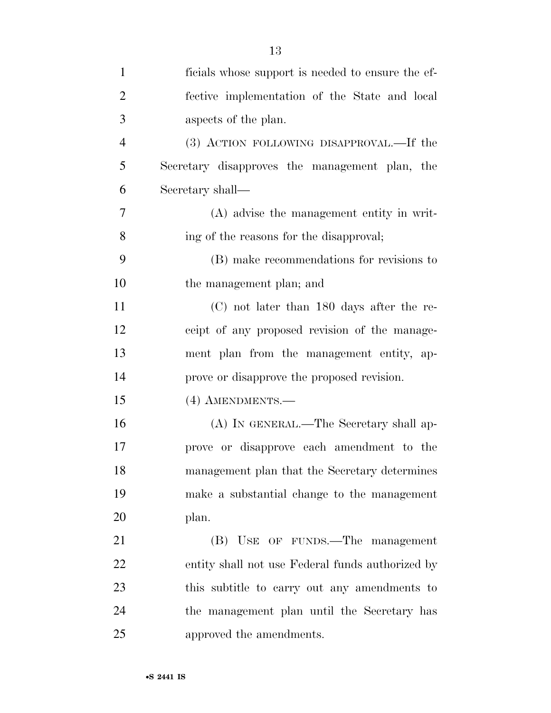| $\mathbf{1}$   | ficials whose support is needed to ensure the ef- |
|----------------|---------------------------------------------------|
| $\overline{2}$ | fective implementation of the State and local     |
| 3              | aspects of the plan.                              |
| $\overline{4}$ | (3) ACTION FOLLOWING DISAPPROVAL.—If the          |
| 5              | Secretary disapproves the management plan, the    |
| 6              | Secretary shall—                                  |
| $\overline{7}$ | (A) advise the management entity in writ-         |
| 8              | ing of the reasons for the disapproval;           |
| 9              | (B) make recommendations for revisions to         |
| 10             | the management plan; and                          |
| 11             | $(C)$ not later than 180 days after the re-       |
| 12             | ceipt of any proposed revision of the manage-     |
| 13             | ment plan from the management entity, ap-         |
| 14             | prove or disapprove the proposed revision.        |
| 15             | (4) AMENDMENTS.—                                  |
| 16             | (A) IN GENERAL.—The Secretary shall ap-           |
| 17             | prove or disapprove each amendment to the         |
| 18             | management plan that the Secretary determines     |
| 19             | make a substantial change to the management       |
| 20             | plan.                                             |
| 21             | (B) USE OF FUNDS.—The management                  |
| 22             | entity shall not use Federal funds authorized by  |
| 23             | this subtitle to carry out any amendments to      |
| 24             | the management plan until the Secretary has       |
| 25             | approved the amendments.                          |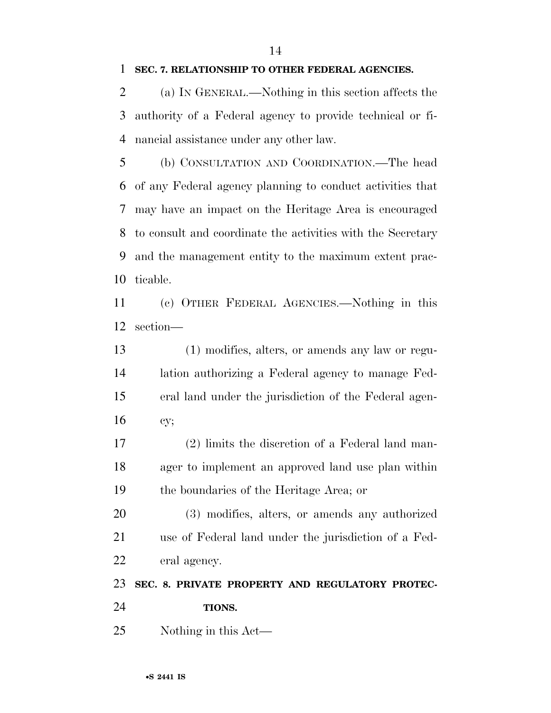#### **SEC. 7. RELATIONSHIP TO OTHER FEDERAL AGENCIES.**

 (a) IN GENERAL.—Nothing in this section affects the authority of a Federal agency to provide technical or fi-nancial assistance under any other law.

 (b) CONSULTATION AND COORDINATION.—The head of any Federal agency planning to conduct activities that may have an impact on the Heritage Area is encouraged to consult and coordinate the activities with the Secretary and the management entity to the maximum extent prac-ticable.

 (c) OTHER FEDERAL AGENCIES.—Nothing in this section—

 (1) modifies, alters, or amends any law or regu- lation authorizing a Federal agency to manage Fed- eral land under the jurisdiction of the Federal agen-cy;

 (2) limits the discretion of a Federal land man- ager to implement an approved land use plan within the boundaries of the Heritage Area; or

 (3) modifies, alters, or amends any authorized use of Federal land under the jurisdiction of a Fed-eral agency.

**SEC. 8. PRIVATE PROPERTY AND REGULATORY PROTEC-**

- **TIONS.**
- Nothing in this Act—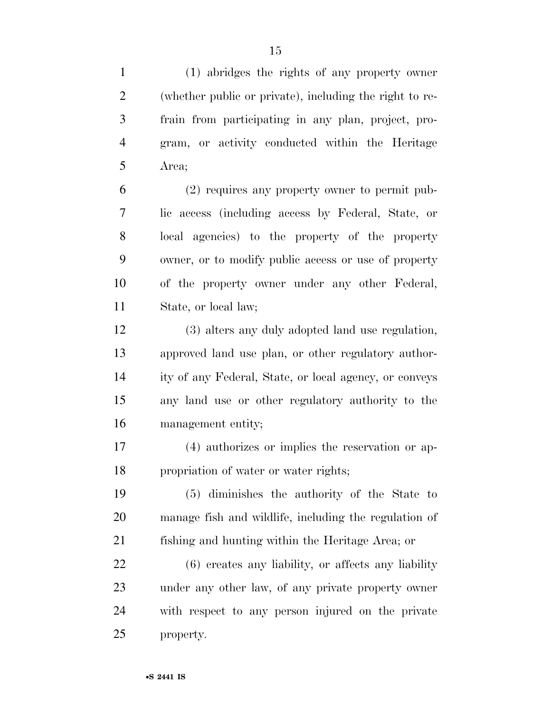(1) abridges the rights of any property owner (whether public or private), including the right to re- frain from participating in any plan, project, pro- gram, or activity conducted within the Heritage Area;

 (2) requires any property owner to permit pub- lic access (including access by Federal, State, or local agencies) to the property of the property owner, or to modify public access or use of property of the property owner under any other Federal, State, or local law;

 (3) alters any duly adopted land use regulation, approved land use plan, or other regulatory author- ity of any Federal, State, or local agency, or conveys any land use or other regulatory authority to the management entity;

 (4) authorizes or implies the reservation or ap-propriation of water or water rights;

 (5) diminishes the authority of the State to manage fish and wildlife, including the regulation of fishing and hunting within the Heritage Area; or

 (6) creates any liability, or affects any liability under any other law, of any private property owner with respect to any person injured on the private property.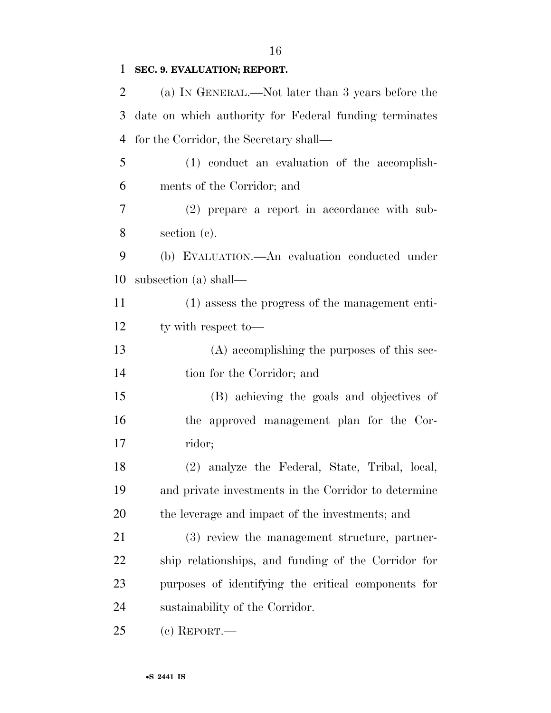# **SEC. 9. EVALUATION; REPORT.**

| $\overline{2}$ | (a) IN GENERAL.—Not later than 3 years before the      |
|----------------|--------------------------------------------------------|
| 3              | date on which authority for Federal funding terminates |
| 4              | for the Corridor, the Secretary shall—                 |
| 5              | (1) conduct an evaluation of the accomplish-           |
| 6              | ments of the Corridor; and                             |
| $\overline{7}$ | (2) prepare a report in accordance with sub-           |
| 8              | section (c).                                           |
| 9              | (b) EVALUATION.—An evaluation conducted under          |
| 10             | subsection (a) shall—                                  |
| 11             | (1) assess the progress of the management enti-        |
| 12             | ty with respect to-                                    |
| 13             | (A) accomplishing the purposes of this sec-            |
| 14             | tion for the Corridor; and                             |
| 15             | (B) achieving the goals and objectives of              |
| 16             | the approved management plan for the Cor-              |
| 17             | ridor;                                                 |
| 18             | (2) analyze the Federal, State, Tribal, local,         |
| 19             | and private investments in the Corridor to determine   |
| 20             | the leverage and impact of the investments; and        |
| 21             | (3) review the management structure, partner-          |
| 22             | ship relationships, and funding of the Corridor for    |
| 23             | purposes of identifying the critical components for    |
| 24             | sustainability of the Corridor.                        |
| 25             | $(c)$ REPORT.—                                         |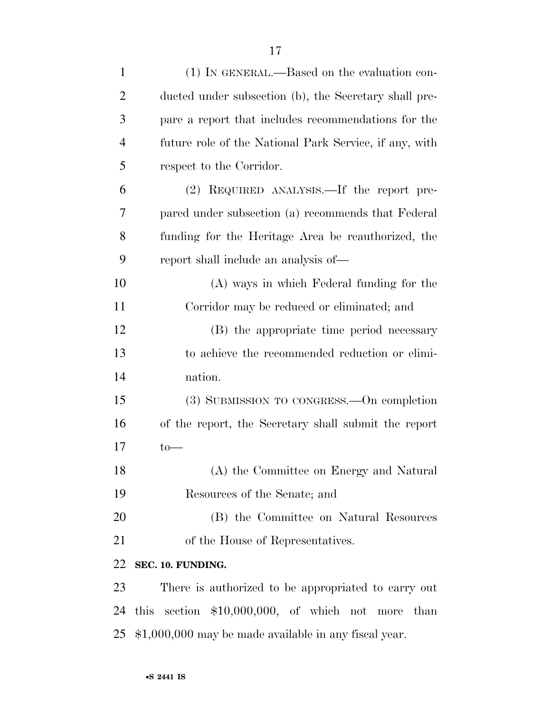| $\mathbf{1}$   | (1) IN GENERAL.—Based on the evaluation con-           |
|----------------|--------------------------------------------------------|
| $\overline{2}$ | ducted under subsection (b), the Secretary shall pre-  |
| 3              | pare a report that includes recommendations for the    |
| $\overline{4}$ | future role of the National Park Service, if any, with |
| 5              | respect to the Corridor.                               |
| 6              | (2) REQUIRED ANALYSIS.—If the report pre-              |
| 7              | pared under subsection (a) recommends that Federal     |
| 8              | funding for the Heritage Area be reauthorized, the     |
| 9              | report shall include an analysis of—                   |
| 10             | (A) ways in which Federal funding for the              |
| 11             | Corridor may be reduced or eliminated; and             |
| 12             | (B) the appropriate time period necessary              |
| 13             | to achieve the recommended reduction or elimi-         |
| 14             | nation.                                                |
| 15             | (3) SUBMISSION TO CONGRESS.—On completion              |
| 16             | of the report, the Secretary shall submit the report   |
| 17             | $to-$                                                  |
| 18             | (A) the Committee on Energy and Natural                |
| 19             | Resources of the Senate; and                           |
| 20             | (B) the Committee on Natural Resources                 |
| 21             | of the House of Representatives.                       |
| 22             | SEC. 10. FUNDING.                                      |
| 23             | There is authorized to be appropriated to carry out    |
| 24             | this section $$10,000,000$ , of which not more<br>than |
| 25             | \$1,000,000 may be made available in any fiscal year.  |